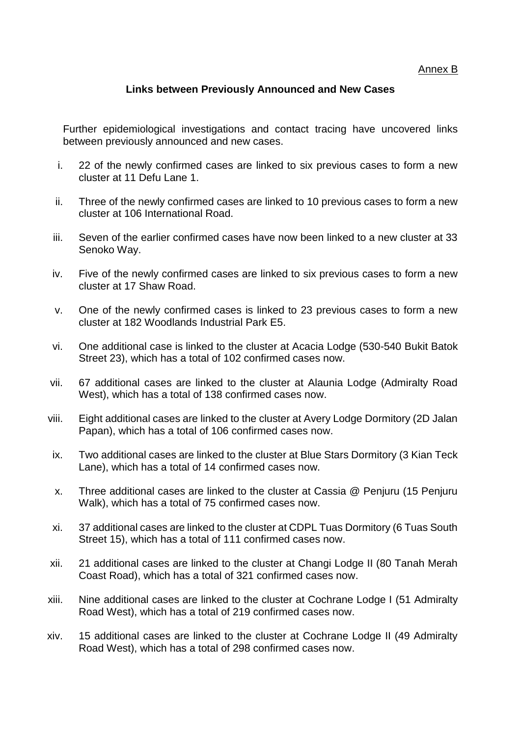## Annex B

## **Links between Previously Announced and New Cases**

Further epidemiological investigations and contact tracing have uncovered links between previously announced and new cases.

- i. 22 of the newly confirmed cases are linked to six previous cases to form a new cluster at 11 Defu Lane 1.
- ii. Three of the newly confirmed cases are linked to 10 previous cases to form a new cluster at 106 International Road.
- iii. Seven of the earlier confirmed cases have now been linked to a new cluster at 33 Senoko Way.
- iv. Five of the newly confirmed cases are linked to six previous cases to form a new cluster at 17 Shaw Road.
- v. One of the newly confirmed cases is linked to 23 previous cases to form a new cluster at 182 Woodlands Industrial Park E5.
- vi. One additional case is linked to the cluster at Acacia Lodge (530-540 Bukit Batok Street 23), which has a total of 102 confirmed cases now.
- vii. 67 additional cases are linked to the cluster at Alaunia Lodge (Admiralty Road West), which has a total of 138 confirmed cases now.
- viii. Eight additional cases are linked to the cluster at Avery Lodge Dormitory (2D Jalan Papan), which has a total of 106 confirmed cases now.
- ix. Two additional cases are linked to the cluster at Blue Stars Dormitory (3 Kian Teck Lane), which has a total of 14 confirmed cases now.
- x. Three additional cases are linked to the cluster at Cassia @ Penjuru (15 Penjuru Walk), which has a total of 75 confirmed cases now.
- xi. 37 additional cases are linked to the cluster at CDPL Tuas Dormitory (6 Tuas South Street 15), which has a total of 111 confirmed cases now.
- xii. 21 additional cases are linked to the cluster at Changi Lodge II (80 Tanah Merah Coast Road), which has a total of 321 confirmed cases now.
- xiii. Nine additional cases are linked to the cluster at Cochrane Lodge I (51 Admiralty Road West), which has a total of 219 confirmed cases now.
- xiv. 15 additional cases are linked to the cluster at Cochrane Lodge II (49 Admiralty Road West), which has a total of 298 confirmed cases now.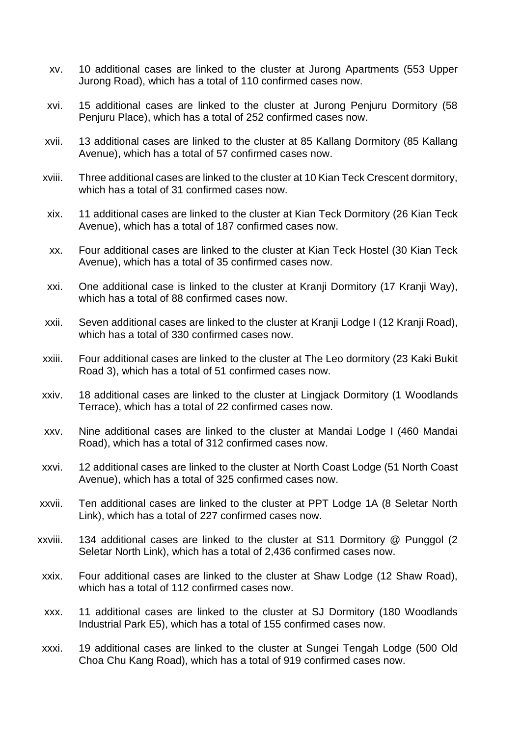- xv. 10 additional cases are linked to the cluster at Jurong Apartments (553 Upper Jurong Road), which has a total of 110 confirmed cases now.
- xvi. 15 additional cases are linked to the cluster at Jurong Penjuru Dormitory (58 Penjuru Place), which has a total of 252 confirmed cases now.
- xvii. 13 additional cases are linked to the cluster at 85 Kallang Dormitory (85 Kallang Avenue), which has a total of 57 confirmed cases now.
- xviii. Three additional cases are linked to the cluster at 10 Kian Teck Crescent dormitory, which has a total of 31 confirmed cases now.
- xix. 11 additional cases are linked to the cluster at Kian Teck Dormitory (26 Kian Teck Avenue), which has a total of 187 confirmed cases now.
- xx. Four additional cases are linked to the cluster at Kian Teck Hostel (30 Kian Teck Avenue), which has a total of 35 confirmed cases now.
- xxi. One additional case is linked to the cluster at Kranji Dormitory (17 Kranji Way), which has a total of 88 confirmed cases now.
- xxii. Seven additional cases are linked to the cluster at Kranji Lodge I (12 Kranji Road), which has a total of 330 confirmed cases now.
- xxiii. Four additional cases are linked to the cluster at The Leo dormitory (23 Kaki Bukit Road 3), which has a total of 51 confirmed cases now.
- xxiv. 18 additional cases are linked to the cluster at Lingjack Dormitory (1 Woodlands Terrace), which has a total of 22 confirmed cases now.
- xxv. Nine additional cases are linked to the cluster at Mandai Lodge I (460 Mandai Road), which has a total of 312 confirmed cases now.
- xxvi. 12 additional cases are linked to the cluster at North Coast Lodge (51 North Coast Avenue), which has a total of 325 confirmed cases now.
- xxvii. Ten additional cases are linked to the cluster at PPT Lodge 1A (8 Seletar North Link), which has a total of 227 confirmed cases now.
- xxviii. 134 additional cases are linked to the cluster at S11 Dormitory @ Punggol (2 Seletar North Link), which has a total of 2,436 confirmed cases now.
- xxix. Four additional cases are linked to the cluster at Shaw Lodge (12 Shaw Road), which has a total of 112 confirmed cases now.
- xxx. 11 additional cases are linked to the cluster at SJ Dormitory (180 Woodlands Industrial Park E5), which has a total of 155 confirmed cases now.
- xxxi. 19 additional cases are linked to the cluster at Sungei Tengah Lodge (500 Old Choa Chu Kang Road), which has a total of 919 confirmed cases now.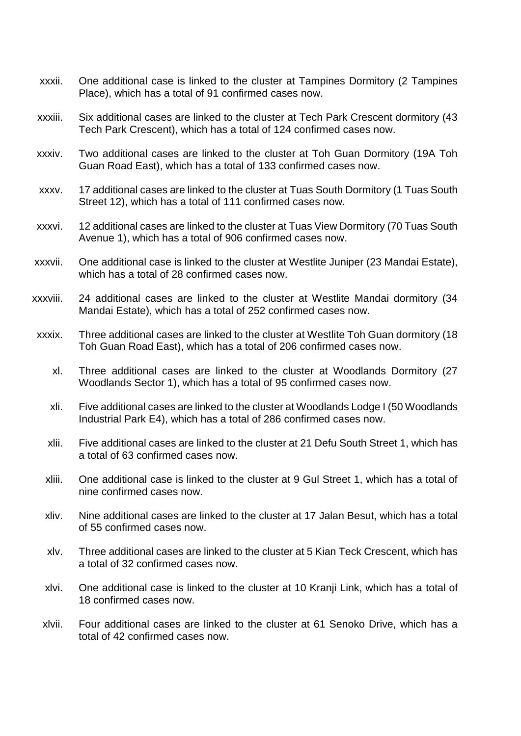- xxxii. One additional case is linked to the cluster at Tampines Dormitory (2 Tampines Place), which has a total of 91 confirmed cases now.
- xxxiii. Six additional cases are linked to the cluster at Tech Park Crescent dormitory (43 Tech Park Crescent), which has a total of 124 confirmed cases now.
- xxxiv. Two additional cases are linked to the cluster at Toh Guan Dormitory (19A Toh Guan Road East), which has a total of 133 confirmed cases now.
- xxxv. 17 additional cases are linked to the cluster at Tuas South Dormitory (1 Tuas South Street 12), which has a total of 111 confirmed cases now.
- xxxvi. 12 additional cases are linked to the cluster at Tuas View Dormitory (70 Tuas South Avenue 1), which has a total of 906 confirmed cases now.
- xxxvii. One additional case is linked to the cluster at Westlite Juniper (23 Mandai Estate), which has a total of 28 confirmed cases now.
- xxxviii. 24 additional cases are linked to the cluster at Westlite Mandai dormitory (34 Mandai Estate), which has a total of 252 confirmed cases now.
- xxxix. Three additional cases are linked to the cluster at Westlite Toh Guan dormitory (18 Toh Guan Road East), which has a total of 206 confirmed cases now.
	- xl. Three additional cases are linked to the cluster at Woodlands Dormitory (27 Woodlands Sector 1), which has a total of 95 confirmed cases now.
	- xli. Five additional cases are linked to the cluster at Woodlands Lodge I (50 Woodlands Industrial Park E4), which has a total of 286 confirmed cases now.
	- xlii. Five additional cases are linked to the cluster at 21 Defu South Street 1, which has a total of 63 confirmed cases now.
	- xliii. One additional case is linked to the cluster at 9 Gul Street 1, which has a total of nine confirmed cases now.
	- xliv. Nine additional cases are linked to the cluster at 17 Jalan Besut, which has a total of 55 confirmed cases now.
	- xlv. Three additional cases are linked to the cluster at 5 Kian Teck Crescent, which has a total of 32 confirmed cases now.
	- xlvi. One additional case is linked to the cluster at 10 Kranji Link, which has a total of 18 confirmed cases now.
	- xlvii. Four additional cases are linked to the cluster at 61 Senoko Drive, which has a total of 42 confirmed cases now.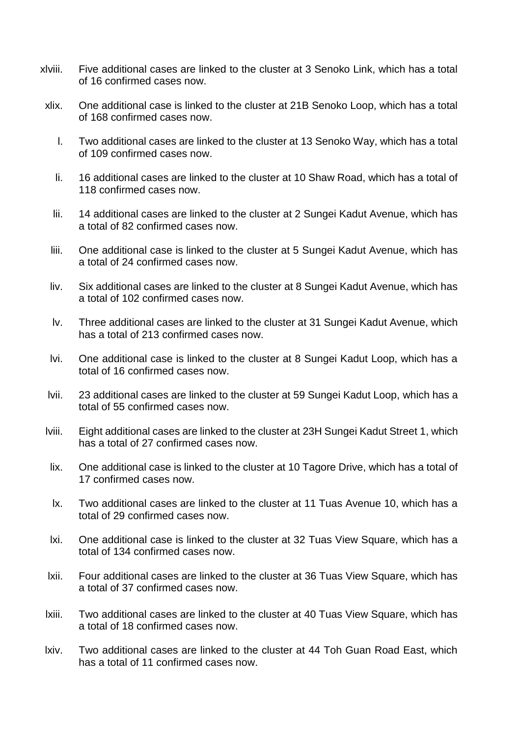- xlviii. Five additional cases are linked to the cluster at 3 Senoko Link, which has a total of 16 confirmed cases now.
- xlix. One additional case is linked to the cluster at 21B Senoko Loop, which has a total of 168 confirmed cases now.
	- l. Two additional cases are linked to the cluster at 13 Senoko Way, which has a total of 109 confirmed cases now.
	- li. 16 additional cases are linked to the cluster at 10 Shaw Road, which has a total of 118 confirmed cases now.
	- lii. 14 additional cases are linked to the cluster at 2 Sungei Kadut Avenue, which has a total of 82 confirmed cases now.
	- liii. One additional case is linked to the cluster at 5 Sungei Kadut Avenue, which has a total of 24 confirmed cases now.
	- liv. Six additional cases are linked to the cluster at 8 Sungei Kadut Avenue, which has a total of 102 confirmed cases now.
	- lv. Three additional cases are linked to the cluster at 31 Sungei Kadut Avenue, which has a total of 213 confirmed cases now.
- lvi. One additional case is linked to the cluster at 8 Sungei Kadut Loop, which has a total of 16 confirmed cases now.
- lvii. 23 additional cases are linked to the cluster at 59 Sungei Kadut Loop, which has a total of 55 confirmed cases now.
- lviii. Eight additional cases are linked to the cluster at 23H Sungei Kadut Street 1, which has a total of 27 confirmed cases now.
- lix. One additional case is linked to the cluster at 10 Tagore Drive, which has a total of 17 confirmed cases now.
- lx. Two additional cases are linked to the cluster at 11 Tuas Avenue 10, which has a total of 29 confirmed cases now.
- lxi. One additional case is linked to the cluster at 32 Tuas View Square, which has a total of 134 confirmed cases now.
- lxii. Four additional cases are linked to the cluster at 36 Tuas View Square, which has a total of 37 confirmed cases now.
- lxiii. Two additional cases are linked to the cluster at 40 Tuas View Square, which has a total of 18 confirmed cases now.
- lxiv. Two additional cases are linked to the cluster at 44 Toh Guan Road East, which has a total of 11 confirmed cases now.